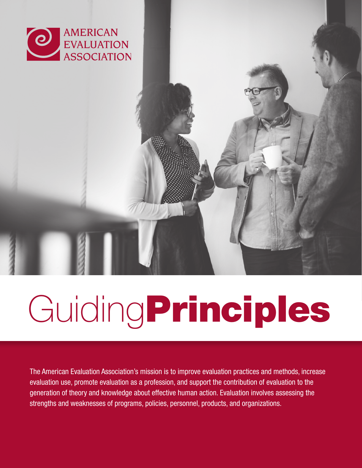

# GuidingPrinciples

The American Evaluation Association's mission is to improve evaluation practices and methods, increase evaluation use, promote evaluation as a profession, and support the contribution of evaluation to the generation of theory and knowledge about effective human action. Evaluation involves assessing the strengths and weaknesses of programs, policies, personnel, products, and organizations.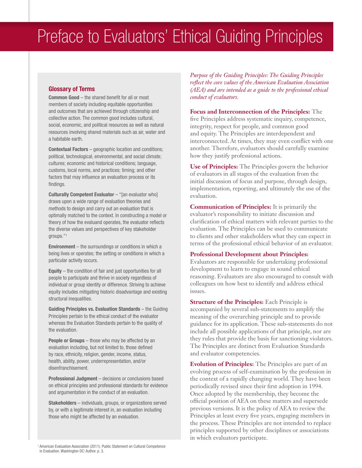# Preface to Evaluators' Ethical Guiding Principles

#### Glossary of Terms

Common Good – the shared benefit for all or most members of society including equitable opportunities and outcomes that are achieved through citizenship and collective action. The common good includes cultural, social, economic, and political resources as well as natural resources involving shared materials such as air, water and a habitable earth.

Contextual Factors – geographic location and conditions; political, technological, environmental, and social climate; cultures; economic and historical conditions; language, customs, local norms, and practices; timing; and other factors that may influence an evaluation process or its findings.

Culturally Competent Evaluator - "[an evaluator who] draws upon a wide range of evaluation theories and methods to design and carry out an evaluation that is optimally matched to the context. In constructing a model or theory of how the evaluand operates, the evaluator reflects the diverse values and perspectives of key stakeholder groups."1

Environment – the surroundings or conditions in which a being lives or operates; the setting or conditions in which a particular activity occurs.

Equity – the condition of fair and just opportunities for all people to participate and thrive in society regardless of individual or group identity or difference. Striving to achieve equity includes mitigating historic disadvantage and existing structural inequalities.

Guiding Principles vs. Evaluation Standards – the Guiding Principles pertain to the ethical conduct of the evaluator whereas the Evaluation Standards pertain to the quality of the evaluation.

**People or Groups** – those who may be affected by an evaluation including, but not limited to, those defined by race, ethnicity, religion, gender, income, status, health, ability, power, underrepresentation, and/or disenfranchisement.

Professional Judgment – decisions or conclusions based on ethical principles and professional standards for evidence and argumentation in the conduct of an evaluation.

Stakeholders – individuals, groups, or organizations served by, or with a legitimate interest in, an evaluation including those who might be affected by an evaluation.

*Purpose of the Guiding Principles: The Guiding Principles reflect the core values of the American Evaluation Association (AEA) and are intended as a guide to the professional ethical conduct of evaluators.* 

#### **Focus and Interconnection of the Principles:** The

five Principles address systematic inquiry, competence, integrity, respect for people, and common good and equity. The Principles are interdependent and interconnected. At times, they may even conflict with one another. Therefore, evaluators should carefully examine how they justify professional actions.

**Use of Principles:** The Principles govern the behavior of evaluators in all stages of the evaluation from the initial discussion of focus and purpose, through design, implementation, reporting, and ultimately the use of the evaluation.

**Communication of Principles:** It is primarily the evaluator's responsibility to initiate discussion and clarification of ethical matters with relevant parties to the evaluation. The Principles can be used to communicate to clients and other stakeholders what they can expect in terms of the professional ethical behavior of an evaluator.

#### **Professional Development about Principles:**

Evaluators are responsible for undertaking professional development to learn to engage in sound ethical reasoning. Evaluators are also encouraged to consult with colleagues on how best to identify and address ethical issues.

**Structure of the Principles:** Each Principle is accompanied by several sub-statements to amplify the meaning of the overarching principle and to provide guidance for its application. These sub-statements do not include all possible applications of that principle, nor are they rules that provide the basis for sanctioning violators. The Principles are distinct from Evaluation Standards and evaluator competencies.

**Evolution of Principles:** The Principles are part of an evolving process of self-examination by the profession in the context of a rapidly changing world. They have been periodically revised since their first adoption in 1994. Once adopted by the membership, they become the official position of AEA on these matters and supersede previous versions. It is the policy of AEA to review the Principles at least every five years, engaging members in the process. These Principles are not intended to replace principles supported by other disciplines or associations in which evaluators participate.

<sup>1</sup> American Evaluation Association (2011). Public Statement on Cultural Competence in Evaluation. Washington DC: Author. p. 3.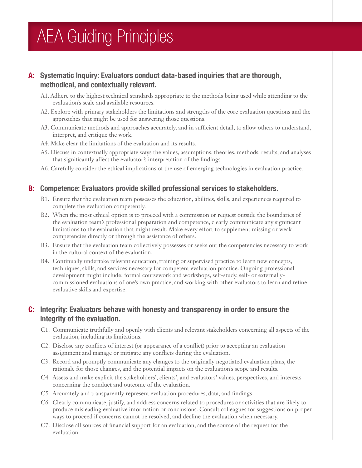# AEA Guiding Principles

## A: Systematic Inquiry: Evaluators conduct data-based inquiries that are thorough, methodical, and contextually relevant.

- A1. Adhere to the highest technical standards appropriate to the methods being used while attending to the evaluation's scale and available resources.
- A2. Explore with primary stakeholders the limitations and strengths of the core evaluation questions and the approaches that might be used for answering those questions.
- A3. Communicate methods and approaches accurately, and in sufficient detail, to allow others to understand, interpret, and critique the work.
- A4. Make clear the limitations of the evaluation and its results.
- A5. Discuss in contextually appropriate ways the values, assumptions, theories, methods, results, and analyses that significantly affect the evaluator's interpretation of the findings.
- A6. Carefully consider the ethical implications of the use of emerging technologies in evaluation practice.

#### B: Competence: Evaluators provide skilled professional services to stakeholders.

- B1. Ensure that the evaluation team possesses the education, abilities, skills, and experiences required to complete the evaluation competently.
- B2. When the most ethical option is to proceed with a commission or request outside the boundaries of the evaluation team's professional preparation and competence, clearly communicate any significant limitations to the evaluation that might result. Make every effort to supplement missing or weak competencies directly or through the assistance of others.
- B3. Ensure that the evaluation team collectively possesses or seeks out the competencies necessary to work in the cultural context of the evaluation.
- B4. Continually undertake relevant education, training or supervised practice to learn new concepts, techniques, skills, and services necessary for competent evaluation practice. Ongoing professional development might include: formal coursework and workshops, self-study, self- or externallycommissioned evaluations of one's own practice, and working with other evaluators to learn and refine evaluative skills and expertise.

### C: Integrity: Evaluators behave with honesty and transparency in order to ensure the integrity of the evaluation.

- C1. Communicate truthfully and openly with clients and relevant stakeholders concerning all aspects of the evaluation, including its limitations.
- C2. Disclose any conflicts of interest (or appearance of a conflict) prior to accepting an evaluation assignment and manage or mitigate any conflicts during the evaluation.
- C3. Record and promptly communicate any changes to the originally negotiated evaluation plans, the rationale for those changes, and the potential impacts on the evaluation's scope and results.
- C4. Assess and make explicit the stakeholders', clients', and evaluators' values, perspectives, and interests concerning the conduct and outcome of the evaluation.
- C5. Accurately and transparently represent evaluation procedures, data, and findings.
- C6. Clearly communicate, justify, and address concerns related to procedures or activities that are likely to produce misleading evaluative information or conclusions. Consult colleagues for suggestions on proper ways to proceed if concerns cannot be resolved, and decline the evaluation when necessary.
- C7. Disclose all sources of financial support for an evaluation, and the source of the request for the evaluation.